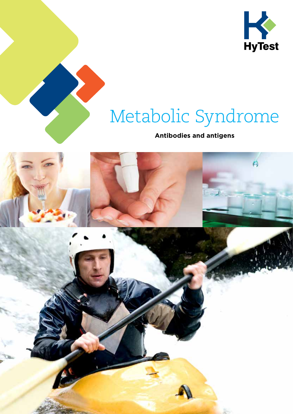

# Metabolic Syndrome

### **Antibodies and antigens**

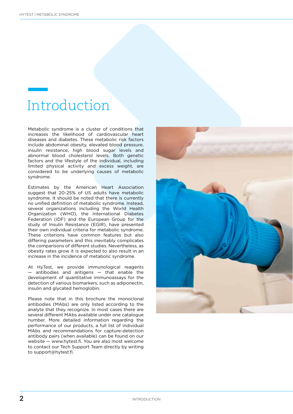### Introduction

Metabolic syndrome is a cluster of conditions that increases the likelihood of cardiovascular heart diseases and diabetes. These metabolic risk factors include abdominal obesity, elevated blood pressure, insulin resistance, high blood sugar levels and abnormal blood cholesterol levels. Both genetic factors and the lifestyle of the individual, including limited physical activity and excess weight, are considered to be underlying causes of metabolic syndrome.

Estimates by the American Heart Association suggest that 20-25% of US adults have metabolic syndrome. It should be noted that there is currently no unified definition of metabolic syndrome. Instead, several organizations including the World Health Organization (WHO), the International Diabetes Federation (IDF) and the European Group for the study of Insulin Resistance (EGIR), have presented their own individual criteria for metabolic syndrome. These criterions have common features but also differing parameters and this inevitably complicates the comparisons of different studies. Nevertheless, as obesity rates grow it is expected to also result in an increase in the incidence of metabolic syndrome.

At HyTest, we provide immunological reagents — antibodies and antigens — that enable the development of quantitative immunoassays for the detection of various biomarkers, such as adiponectin, insulin and glycated hemoglobin.

Please note that in this brochure the monoclonal antibodies (MAbs) are only listed according to the analyte that they recognize. In most cases there are several different MAbs available under one catalogue number. More detailed information regarding the performance of our products, a full list of individual MAbs and recommendations for capture-detection antibody pairs (when available) can be found on our website — www.hytest.fi. You are also most welcome to contact our Tech Support Team directly by writing to support@hytest.fi.

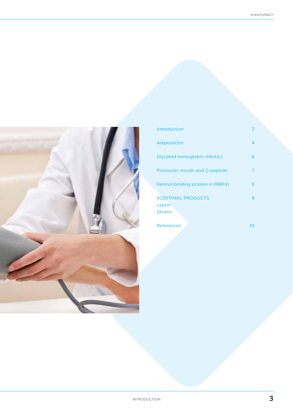

| Introduction                                   |    |
|------------------------------------------------|----|
| Adiponectin                                    | 4  |
| Glycated hemoglobin (HbA1c)                    | 6  |
| Proinsulin, insulin and C-peptide              | 7  |
| Retinol-binding protein 4 (RBP4)               | 8  |
| <b>ADDITINAL PRODUCTS</b><br>Leptin<br>Ghrelin | q  |
| <b>References</b>                              | 10 |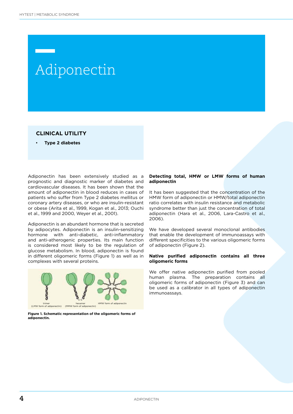### Adiponectin

### **CLINICAL UTILITY**

• **Type 2 diabetes**

Adiponectin has been extensively studied as a prognostic and diagnostic marker of diabetes and cardiovascular diseases. It has been shown that the amount of adiponectin in blood reduces in cases of patients who suffer from Type 2 diabetes mellitus or coronary artery diseases, or who are insulin-resistant or obese (Arita et al., 1999, Kogan et al., 2013; Ouchi et al., 1999 and 2000, Weyer et al., 2001).

Adiponectin is an abundant hormone that is secreted by adipocytes. Adiponectin is an insulin-sensitizing hormone with anti-diabetic, anti-inflammatory and anti-atherogenic properties. Its main function is considered most likely to be the regulation of glucose metabolism. In blood, adiponectin is found in different oligomeric forms (Figure 1) as well as in complexes with several proteins.



**Figure 1. Schematic representation of the oligomeric forms of adiponectin.** 

#### **Detecting total, HMW or LMW forms of human adiponectin**

It has been suggested that the concentration of the HMW form of adiponectin or HMW/total adiponectin ratio correlates with insulin resistance and metabolic syndrome better than just the concentration of total adiponectin (Hara et al., 2006, Lara-Castro et al., 2006).

We have developed several monoclonal antibodies that enable the development of immunoassays with different specificities to the various oligomeric forms of adiponectin (Figure 2).

#### **Native purified adiponectin contains all three oligomeric forms**

We offer native adiponectin purified from pooled human plasma. The preparation contains all oligomeric forms of adiponectin (Figure 3) and can be used as a calibrator in all types of adiponectin immunoassays.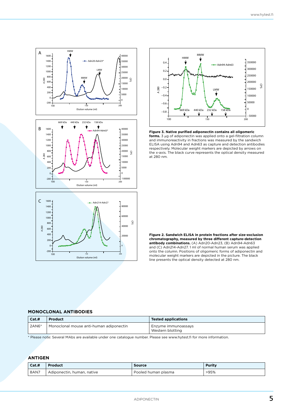

Elution volume (ml)

100 200

75



**Figure 3. Native purified adiponectin contains all oligomeric forms.** 3 μg of adiponectin was applied onto a gel-filtration column and immunoreactivity in fractions was measured by the sandwich ELISA using Adn94 and Adn63 as capture and detection antibodies respectively. Molecular weight markers are depicted by arrows on the x-axis. The black curve represents the optical density measured at 280 nm.



#### **MONOCLONAL ANTIBODIES**

 $-200 + 100$ 

| Cat.H   | Product                                 | <b>Tested applications</b>              |
|---------|-----------------------------------------|-----------------------------------------|
| $2AN6*$ | Monoclonal mouse anti-human adiponectin | Enzyme immunoassays<br>Western blotting |

\* Please note: Several MAbs are available under one catalogue number. Please see www.hytest.fi for more information.

### **ANTIGEN**

| Cat.H | Product                    | Source              | <b>Purity</b> |
|-------|----------------------------|---------------------|---------------|
| 8AN7  | Adiponectin, human, native | Pooled human plasma | >95%          |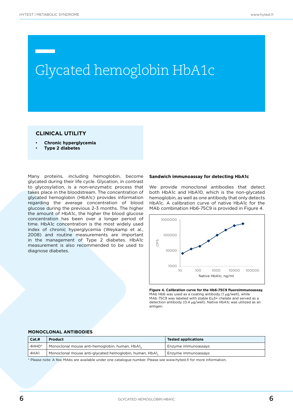### Glycated hemoglobin HbA1c

### **CLINICAL UTILITY**

- **Chronic hyperglycemia**
- **Type 2 diabetes**

Many proteins, including hemoglobin, become glycated during their life cycle. Glycation, in contrast to glycosylation, is a non-enzymatic process that takes place in the bloodstream. The concentration of glycated hemoglobin (HbA1c) provides information regarding the average concentration of blood glucose during the previous 2-3 months. The higher the amount of HbA1c, the higher the blood glucose concentration has been over a longer period of time. HbA1c concentration is the most widely used index of chronic hyperglycemia (Weykamp et al., 2008) and routine measurements are important in the management of Type 2 diabetes. HbA1c measurement is also recommended to be used to diagnose diabetes.

#### **Sandwich immunoassay for detecting HbA1c**

We provide monoclonal antibodies that detect both HbA1c and HbA10, which is the non-glycated hemoglobin, as well as one antibody that only detects HbA1c. A calibration curve of native HbA1c for the MAb combination Hb6-75C9 is provided in Figure 4.



**Figure 4. Calibration curve for the Hb6-75C9 fluoroimmunoassay.**  MAb Hb6 was used as a coating antibody (1 μg/well), while MAb 75C9 was labeled with stable Eu3+ chelate and served as a detection antibody (0.4 μg/well). Native HbA1c was utilized as an antigen.

### **MONOCLONAL ANTIBODIES**

| Cat.H   | Product                                                | <b>Tested applications</b> |
|---------|--------------------------------------------------------|----------------------------|
| . 4HHO* | Monoclonal mouse anti-hemoglobin, human, HbA1,         | Enzyme immunoassays        |
| 4HA1    | Monoclonal mouse anti-glycated hemoglobin, human, HbA1 | Enzyme immunoassays        |

\* Please note: A few MAbs are available under one catalogue number. Please see www.hytest.fi for more information.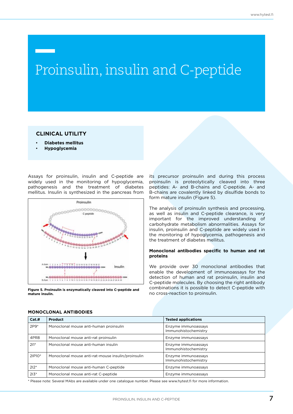### Proinsulin, insulin and C-peptide

### **CLINICAL UTILITY**

- **Diabetes mellitus**
- **Hypoglycemia**

Assays for proinsulin, insulin and C-peptide are widely used in the monitoring of hypoglycemia, pathogenesis and the treatment of diabetes mellitus. Insulin is synthesized in the pancreas from



**Figure 5. Proinsulin is enzymatically cleaved into C-peptide and mature insulin.** 

its precursor proinsulin and during this process proinsulin is proteolytically cleaved into three peptides: A- and B-chains and C-peptide. A- and B-chains are covalently linked by disulfide bonds to form mature insulin (Figure 5).

The analysis of proinsulin synthesis and processing, as well as insulin and C-peptide clearance, is very important for the improved understanding of carbohydrate metabolism abnormalities. Assays for insulin, proinsulin and C-peptide are widely used in the monitoring of hypoglycemia, pathogenesis and the treatment of diabetes mellitus.

#### **Monoclonal antibodies specific to human and rat proteins**

We provide over 30 monoclonal antibodies that enable the development of immunoassays for the detection of human and rat proinsulin, insulin and C-peptide molecules. By choosing the right antibody combinations it is possible to detect C-peptide with no cross-reaction to proinsulin.

| Cat.H  | Product                                            | <b>Tested applications</b>                  |
|--------|----------------------------------------------------|---------------------------------------------|
| $2P9*$ | Monoclonal mouse anti-human proinsulin             | Enzyme immunoassays<br>Immunohistochemistry |
| 4PR8   | Monoclonal mouse anti-rat proinsulin               | Enzyme immunoassays                         |
| $211*$ | Monoclonal mouse anti-human insulin                | Enzyme immunoassays<br>Immunohistochemistry |
| 2IP10* | Monoclonal mouse anti-rat-mouse insulin/proinsulin | Enzyme immunoassays<br>Immunohistochemistry |
| $212*$ | Monoclonal mouse anti-human C-peptide              | Enzyme immunoassays                         |
| $213*$ | Monoclonal mouse anti-rat C-peptide                | Enzyme immunoassays                         |

#### **MONOCLONAL ANTIBODIES**

\* Please note: Several MAbs are available under one catalogue number. Please see www.hytest.fi for more information.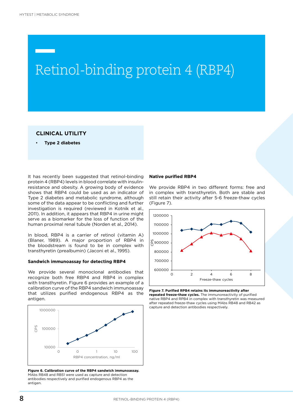### Retinol-binding protein 4 (RBP4)

### **CLINICAL UTILITY**

• **Type 2 diabetes**

It has recently been suggested that retinol-binding protein 4 (RBP4) levels in blood correlate with insulinresistance and obesity. A growing body of evidence shows that RBP4 could be used as an indicator of Type 2 diabetes and metabolic syndrome, although some of the data appear to be conflicting and further investigation is required (reviewed in Kotnik et al., 2011). In addition, it appears that RBP4 in urine might serve as a biomarker for the loss of function of the human proximal renal tubule (Norden et al., 2014).

In blood, RBP4 is a carrier of retinol (vitamin A) (Blaner, 1989). A major proportion of RBP4 in the bloodstream is found to be in complex with transthyretin (prealbumin) (Jaconi et al., 1995).

#### **Sandwich immunoassay for detecting RBP4**

We provide several monoclonal antibodies that recognize both free RBP4 and RBP4 in complex with transthyretin. Figure 6 provides an example of a calibration curve of the RBP4 sandwich immunoassay that utilizes purified endogenous RBP4 as the antigen.



**Figure 6. Calibration curve of the RBP4 sandwich immunoassay.**  MAbs RB48 and RB51 were used as capture and detection antibodies respectively and purified endogenous RBP4 as the antigen.

#### **Native purified RBP4**

We provide RBP4 in two different forms: free and in complex with transthyretin. Both are stable and still retain their activity after 5-6 freeze-thaw cycles (Figure 7).



**Figure 7. Purified RPB4 retains its immunoreactivity after repeated freeze-thaw cycles.** The immunoreactivity of purified native RBP4 and RPB4 in complex with transthyretin was measured after repeated freeze-thaw cycles using MAbs RB48 and RB42 as capture and detection antibodies respectively.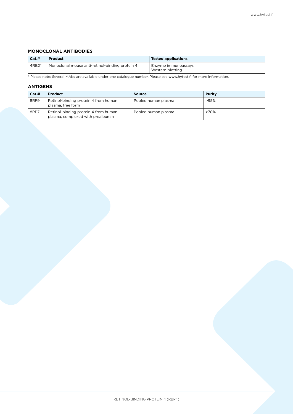**9**

### **MONOCLONAL ANTIBODIES**

| Cat.H   | Product                                         | <b>Tested applications</b>              |
|---------|-------------------------------------------------|-----------------------------------------|
| $4RB2*$ | Monoclonal mouse anti-retinol-binding protein 4 | Enzyme immunoassays<br>Western blotting |

\* Please note: Several MAbs are available under one catalogue number. Please see www.hytest.fi for more information.

### **ANTIGENS**

| Cat.H | Product                                                                   | <b>Source</b>       | Purity |
|-------|---------------------------------------------------------------------------|---------------------|--------|
| 8RF9  | Retinol-binding protein 4 from human<br>plasma, free form                 | Pooled human plasma | >95%   |
| 8RP7  | Retinol-binding protein 4 from human<br>plasma, complexed with prealbumin | Pooled human plasma | >70%   |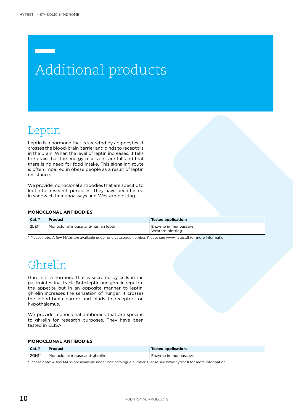## Additional products

### Leptin

Leptin is a hormone that is secreted by adipocytes. It crosses the blood-brain barrier and binds to receptors in the brain. When the level of leptin increases, it tells the brain that the energy reservoirs are full and that there is no need for food intake. This signaling route is often impaired in obese people as a result of leptin resistance.

We provide monoclonal antibodies that are specific to leptin for research purposes. They have been tested in sandwich immunoassays and Western blotting.

### **MONOCLONAL ANTIBODIES**

| Cat.#   | <b>Product</b>                     | <b>Tested applications</b>              |
|---------|------------------------------------|-----------------------------------------|
| $2LE1*$ | Monoclonal mouse anti-human leptin | Enzyme immunoassays<br>Western blotting |

\* Please note: A few MAbs are available under one catalogue number. Please see www.hytest.fi for more information.

### Ghrelin

Ghrelin is a hormone that is secreted by cells in the gastrointestinal track. Both leptin and ghrelin regulate the appetite but in an opposite manner to leptin, ghrelin increases the sensation of hunger. It crosses the blood-brain barrier and binds to receptors on hypothalamus.

We provide monoclonal antibodies that are specific to ghrelin for research purposes. They have been tested in ELISA.

### **MONOCLONAL ANTIBODIES**

| Cat.H | Product                       | <b>Tested applications</b> |
|-------|-------------------------------|----------------------------|
| 2GH1* | Monoclonal mouse anti-ghrelin | Enzyme immunoassays        |

\* Please note: A few MAbs are available under one catalogue number. Please see www.hytest.fi for more information.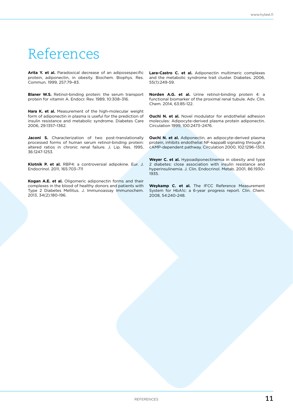### References

Arita Y. et al. Paradoxical decrease of an adiposespecific protein, adiponectin, in obesity. Biochem. Biophys. Res. Commun. 1999, 257:79–83.

**Blaner W.S.** Retinol-binding protein: the serum transport protein for vitamin A. Endocr. Rev. 1989, 10:308–316.

**Hara K. et al.** Measurement of the high-molecular weight form of adiponectin in plasma is useful for the prediction of insulin resistance and metabolic syndrome. Diabetes Care 2006, 29:1357–1362.

Jaconi S. Characterization of two post-translationally processed forms of human serum retinol-binding protein: altered ratios in chronic renal failure. J. Lip. Res. 1995, 36:1247-1253.

**Klotnik P. et al.** RBP4: a controversial adipokine. Eur. J. Endocrinol. 2011, 165:703–711

**Kogan A.E. et al.** Oligomeric adiponectin forms and their complexes in the blood of healthy donors and patients with Type 2 Diabetes Mellitus. J. Immunoassay Immunochem. 2013, 34(2):180-196.

**Lara-Castro C. et al.** Adiponectin multimeric complexes and the metabolic syndrome trait cluster. Diabetes. 2006, 55(1):249-59.

**Norden A.G. et al.** Urine retinol-binding protein 4: a functional biomarker of the proximal renal tubule. Adv. Clin. Chem. 2014, 63:85-122.

**Ouchi N. et al.** Novel modulator for endothelial adhesion molecules: Adipocyte-derived plasma protein adiponectin. Circulation 1999, 100:2473–2476.

**Ouchi N. et al.** Adiponectin, an adipocyte-derived plasma protein, inhibits endothelial NF-kappaB signaling through a cAMP-dependent pathway. Circulation 2000, 102:1296–1301.

**Weyer C. et al.** Hypoadiponectinemia in obesity and type 2 diabetes: close association with insulin resistance and hyperinsulinemia. J. Clin. Endocrinol. Metab. 2001, 86:1930– 1935.

**Weykamp C. et al.** The IFCC Reference Measurement System for HbA1c: a 6-year progress report. Clin. Chem. 2008, 54:240-248.